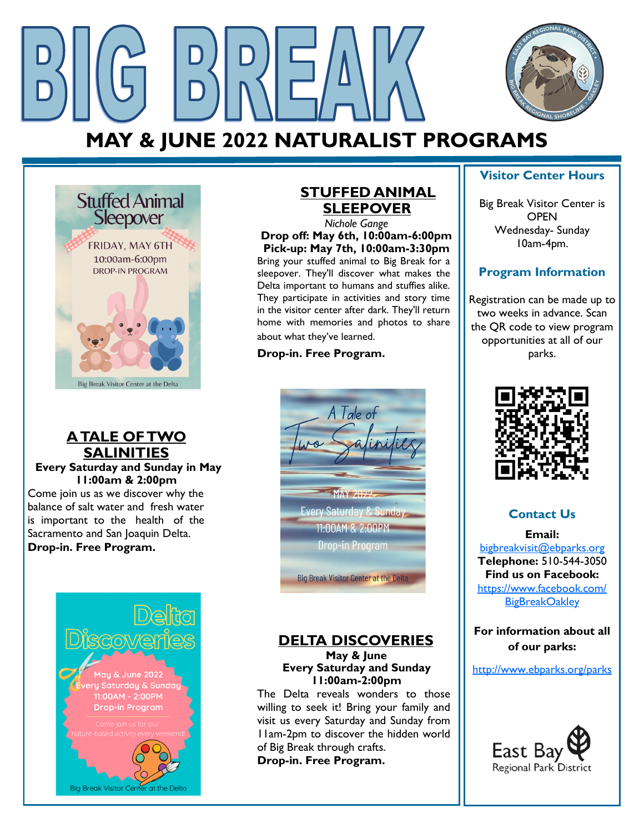

# **MAY & JUNE 2022 NATURALIST PROGRAMS**



#### **A TALE OF TWO SALINITIES**

**Every Saturday and Sunday in May 11:00am & 2:00pm** Come join us as we discover why the balance of salt water and fresh water is important to the health of the Sacramento and San Joaquin Delta. **Drop-in. Free Program.**



## **STUFFED ANIMAL SLEEPOVER**

*Nichole Gange* **Drop off: May 6th, 10:00am-6:00pm Pick-up: May 7th, 10:00am-3:30pm** Bring your stuffed animal to Big Break for a sleepover. They'll discover what makes the Delta important to humans and stuffies alike. They participate in activities and story time in the visitor center after dark. They'll return home with memories and photos to share about what they've learned.

#### **Drop-in. Free Program.**



## **DELTA DISCOVERIES**

**May & June Every Saturday and Sunday 11:00am-2:00pm**

The Delta reveals wonders to those willing to seek it! Bring your family and visit us every Saturday and Sunday from 11am-2pm to discover the hidden world of Big Break through crafts. **Drop-in. Free Program.**

#### **Visitor Center Hours**

Big Break Visitor Center is **OPEN** Wednesday- Sunday 10am-4pm.

### **Program Information**

Registration can be made up to two weeks in advance. Scan the QR code to view program opportunities at all of our parks.



## **Contact Us**

**Email:**  [bigbreakvisit@ebparks.org](mailto:bigbreakvisit@ebparks.org) **Telephone:** 510-544-3050 **Find us on Facebook:** [https://www.facebook.com/](https://www.facebook.com/BigBreakOakley) **[BigBreakOakley](https://www.facebook.com/BigBreakOakley)** 

**For information about all of our parks:**

<http://www.ebparks.org/parks>